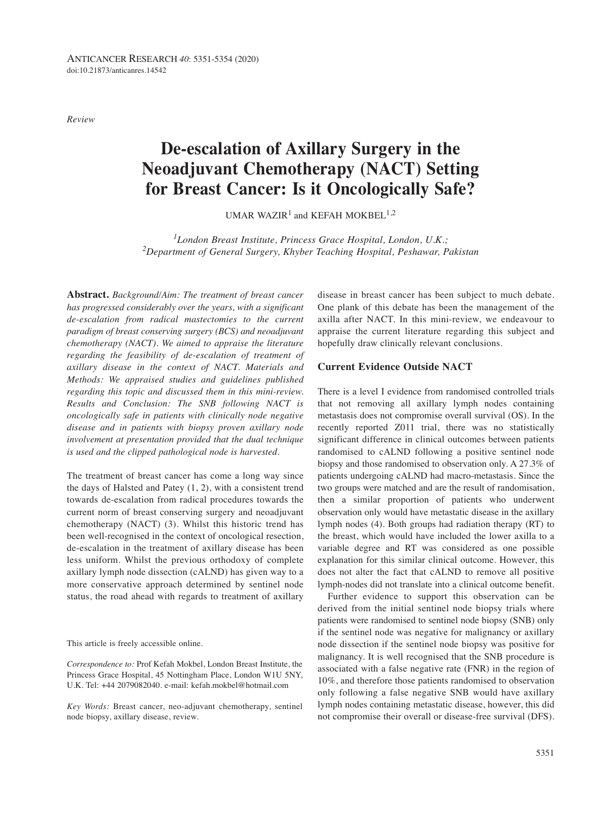*Review*

# **De-escalation of Axillary Surgery in the Neoadjuvant Chemotherapy (NACT) Setting for Breast Cancer: Is it Oncologically Safe?**

UMAR WAZIR<sup>1</sup> and KEFAH MOKBEL<sup>1,2</sup>

*1London Breast Institute, Princess Grace Hospital, London, U.K.; 2Department of General Surgery, Khyber Teaching Hospital, Peshawar, Pakistan*

**Abstract.** *Background/Aim: The treatment of breast cancer has progressed considerably over the years, with a significant de-escalation from radical mastectomies to the current paradigm of breast conserving surgery (BCS) and neoadjuvant chemotherapy (NACT). We aimed to appraise the literature regarding the feasibility of de-escalation of treatment of axillary disease in the context of NACT. Materials and Methods: We appraised studies and guidelines published regarding this topic and discussed them in this mini-review. Results and Conclusion: The SNB following NACT is oncologically safe in patients with clinically node negative disease and in patients with biopsy proven axillary node involvement at presentation provided that the dual technique is used and the clipped pathological node is harvested.*

The treatment of breast cancer has come a long way since the days of Halsted and Patey (1, 2), with a consistent trend towards de-escalation from radical procedures towards the current norm of breast conserving surgery and neoadjuvant chemotherapy (NACT) (3). Whilst this historic trend has been well-recognised in the context of oncological resection, de-escalation in the treatment of axillary disease has been less uniform. Whilst the previous orthodoxy of complete axillary lymph node dissection (cALND) has given way to a more conservative approach determined by sentinel node status, the road ahead with regards to treatment of axillary

This article is freely accessible online.

*Correspondence to:* Prof Kefah Mokbel, London Breast Institute, the Princess Grace Hospital, 45 Nottingham Place, London W1U 5NY, U.K. Tel: +44 2079082040. e-mail: kefah.mokbel@hotmail.com

*Key Words:* Breast cancer, neo-adjuvant chemotherapy, sentinel node biopsy, axillary disease, review.

disease in breast cancer has been subject to much debate. One plank of this debate has been the management of the axilla after NACT. In this mini-review, we endeavour to appraise the current literature regarding this subject and hopefully draw clinically relevant conclusions.

## **Current Evidence Outside NACT**

There is a level I evidence from randomised controlled trials that not removing all axillary lymph nodes containing metastasis does not compromise overall survival (OS). In the recently reported Z011 trial, there was no statistically significant difference in clinical outcomes between patients randomised to cALND following a positive sentinel node biopsy and those randomised to observation only. A 27.3% of patients undergoing cALND had macro-metastasis. Since the two groups were matched and are the result of randomisation, then a similar proportion of patients who underwent observation only would have metastatic disease in the axillary lymph nodes (4). Both groups had radiation therapy (RT) to the breast, which would have included the lower axilla to a variable degree and RT was considered as one possible explanation for this similar clinical outcome. However, this does not alter the fact that cALND to remove all positive lymph-nodes did not translate into a clinical outcome benefit.

Further evidence to support this observation can be derived from the initial sentinel node biopsy trials where patients were randomised to sentinel node biopsy (SNB) only if the sentinel node was negative for malignancy or axillary node dissection if the sentinel node biopsy was positive for malignancy. It is well recognised that the SNB procedure is associated with a false negative rate (FNR) in the region of 10%, and therefore those patients randomised to observation only following a false negative SNB would have axillary lymph nodes containing metastatic disease, however, this did not compromise their overall or disease-free survival (DFS).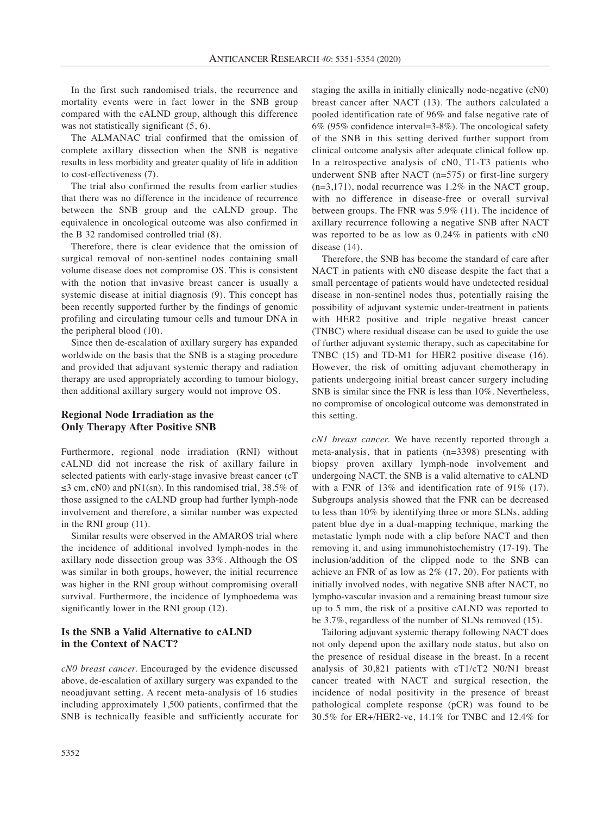In the first such randomised trials, the recurrence and mortality events were in fact lower in the SNB group compared with the cALND group, although this difference was not statistically significant  $(5, 6)$ .

The ALMANAC trial confirmed that the omission of complete axillary dissection when the SNB is negative results in less morbidity and greater quality of life in addition to cost-effectiveness (7).

The trial also confirmed the results from earlier studies that there was no difference in the incidence of recurrence between the SNB group and the cALND group. The equivalence in oncological outcome was also confirmed in the B 32 randomised controlled trial (8).

Therefore, there is clear evidence that the omission of surgical removal of non-sentinel nodes containing small volume disease does not compromise OS. This is consistent with the notion that invasive breast cancer is usually a systemic disease at initial diagnosis (9). This concept has been recently supported further by the findings of genomic profiling and circulating tumour cells and tumour DNA in the peripheral blood (10).

Since then de-escalation of axillary surgery has expanded worldwide on the basis that the SNB is a staging procedure and provided that adjuvant systemic therapy and radiation therapy are used appropriately according to tumour biology, then additional axillary surgery would not improve OS.

## **Regional Node Irradiation as the Only Therapy After Positive SNB**

Furthermore, regional node irradiation (RNI) without cALND did not increase the risk of axillary failure in selected patients with early-stage invasive breast cancer (cT ≤3 cm, cN0) and pN1(sn). In this randomised trial,  $38.5\%$  of those assigned to the cALND group had further lymph-node involvement and therefore, a similar number was expected in the RNI group (11).

Similar results were observed in the AMAROS trial where the incidence of additional involved lymph-nodes in the axillary node dissection group was 33%. Although the OS was similar in both groups, however, the initial recurrence was higher in the RNI group without compromising overall survival. Furthermore, the incidence of lymphoedema was significantly lower in the RNI group (12).

## **Is the SNB a Valid Alternative to cALND in the Context of NACT?**

*cN0 breast cancer.* Encouraged by the evidence discussed above, de-escalation of axillary surgery was expanded to the neoadjuvant setting. A recent meta-analysis of 16 studies including approximately 1,500 patients, confirmed that the SNB is technically feasible and sufficiently accurate for staging the axilla in initially clinically node-negative (cN0) breast cancer after NACT (13). The authors calculated a pooled identification rate of 96% and false negative rate of 6% (95% confidence interval=3-8%). The oncological safety of the SNB in this setting derived further support from clinical outcome analysis after adequate clinical follow up. In a retrospective analysis of cN0, T1-T3 patients who underwent SNB after NACT (n=575) or first-line surgery  $(n=3,171)$ , nodal recurrence was 1.2% in the NACT group, with no difference in disease-free or overall survival between groups. The FNR was 5.9% (11). The incidence of axillary recurrence following a negative SNB after NACT was reported to be as low as 0.24% in patients with cN0 disease (14).

Therefore, the SNB has become the standard of care after NACT in patients with cN0 disease despite the fact that a small percentage of patients would have undetected residual disease in non-sentinel nodes thus, potentially raising the possibility of adjuvant systemic under-treatment in patients with HER2 positive and triple negative breast cancer (TNBC) where residual disease can be used to guide the use of further adjuvant systemic therapy, such as capecitabine for TNBC (15) and TD-M1 for HER2 positive disease (16). However, the risk of omitting adjuvant chemotherapy in patients undergoing initial breast cancer surgery including SNB is similar since the FNR is less than 10%. Nevertheless, no compromise of oncological outcome was demonstrated in this setting.

*cN1 breast cancer.* We have recently reported through a meta-analysis, that in patients (n=3398) presenting with biopsy proven axillary lymph-node involvement and undergoing NACT, the SNB is a valid alternative to cALND with a FNR of 13% and identification rate of 91% (17). Subgroups analysis showed that the FNR can be decreased to less than 10% by identifying three or more SLNs, adding patent blue dye in a dual-mapping technique, marking the metastatic lymph node with a clip before NACT and then removing it, and using immunohistochemistry (17-19). The inclusion/addition of the clipped node to the SNB can achieve an FNR of as low as 2% (17, 20). For patients with initially involved nodes, with negative SNB after NACT, no lympho-vascular invasion and a remaining breast tumour size up to 5 mm, the risk of a positive cALND was reported to be 3.7%, regardless of the number of SLNs removed (15).

Tailoring adjuvant systemic therapy following NACT does not only depend upon the axillary node status, but also on the presence of residual disease in the breast. In a recent analysis of 30,821 patients with cT1/cT2 N0/N1 breast cancer treated with NACT and surgical resection, the incidence of nodal positivity in the presence of breast pathological complete response (pCR) was found to be 30.5% for ER+/HER2-ve, 14.1% for TNBC and 12.4% for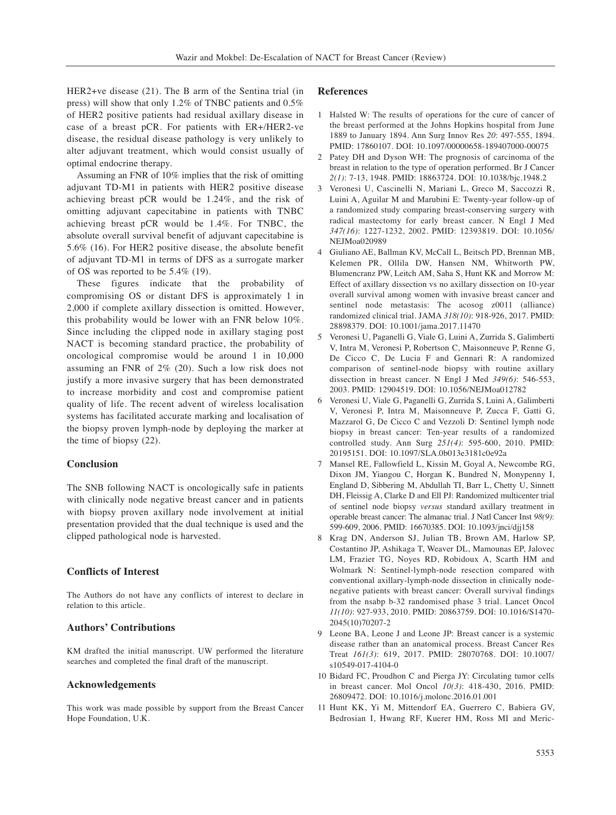HER2+ve disease (21). The B arm of the Sentina trial (in press) will show that only 1.2% of TNBC patients and 0.5% of HER2 positive patients had residual axillary disease in case of a breast pCR. For patients with ER+/HER2-ve disease, the residual disease pathology is very unlikely to alter adjuvant treatment, which would consist usually of optimal endocrine therapy.

Assuming an FNR of 10% implies that the risk of omitting adjuvant TD-M1 in patients with HER2 positive disease achieving breast pCR would be 1.24%, and the risk of omitting adjuvant capecitabine in patients with TNBC achieving breast pCR would be 1.4%. For TNBC, the absolute overall survival benefit of adjuvant capecitabine is 5.6% (16). For HER2 positive disease, the absolute benefit of adjuvant TD-M1 in terms of DFS as a surrogate marker of OS was reported to be 5.4% (19).

These figures indicate that the probability of compromising OS or distant DFS is approximately 1 in 2,000 if complete axillary dissection is omitted. However, this probability would be lower with an FNR below 10%. Since including the clipped node in axillary staging post NACT is becoming standard practice, the probability of oncological compromise would be around 1 in 10,000 assuming an FNR of 2% (20). Such a low risk does not justify a more invasive surgery that has been demonstrated to increase morbidity and cost and compromise patient quality of life. The recent advent of wireless localisation systems has facilitated accurate marking and localisation of the biopsy proven lymph-node by deploying the marker at the time of biopsy (22).

#### **Conclusion**

The SNB following NACT is oncologically safe in patients with clinically node negative breast cancer and in patients with biopsy proven axillary node involvement at initial presentation provided that the dual technique is used and the clipped pathological node is harvested.

#### **Conflicts of Interest**

The Authors do not have any conflicts of interest to declare in relation to this article.

#### **Authors' Contributions**

KM drafted the initial manuscript. UW performed the literature searches and completed the final draft of the manuscript.

### **Acknowledgements**

This work was made possible by support from the Breast Cancer Hope Foundation, U.K.

#### **References**

- 1 Halsted W: The results of operations for the cure of cancer of the breast performed at the Johns Hopkins hospital from June 1889 to January 1894. Ann Surg Innov Res *20*: 497-555, 1894. PMID: 17860107. DOI: 10.1097/00000658-189407000-00075
- 2 Patey DH and Dyson WH: The prognosis of carcinoma of the breast in relation to the type of operation performed. Br J Cancer *2(1)*: 7-13, 1948. PMID: 18863724. DOI: 10.1038/bjc.1948.2
- 3 Veronesi U, Cascinelli N, Mariani L, Greco M, Saccozzi R, Luini A, Aguilar M and Marubini E: Twenty-year follow-up of a randomized study comparing breast-conserving surgery with radical mastectomy for early breast cancer. N Engl J Med *347(16)*: 1227-1232, 2002. PMID: 12393819. DOI: 10.1056/ NEJMoa020989
- 4 Giuliano AE, Ballman KV, McCall L, Beitsch PD, Brennan MB, Kelemen PR, Ollila DW, Hansen NM, Whitworth PW, Blumencranz PW, Leitch AM, Saha S, Hunt KK and Morrow M: Effect of axillary dissection vs no axillary dissection on 10-year overall survival among women with invasive breast cancer and sentinel node metastasis: The acosog z0011 (alliance) randomized clinical trial. JAMA *318(10)*: 918-926, 2017. PMID: 28898379. DOI: 10.1001/jama.2017.11470
- 5 Veronesi U, Paganelli G, Viale G, Luini A, Zurrida S, Galimberti V, Intra M, Veronesi P, Robertson C, Maisonneuve P, Renne G, De Cicco C, De Lucia F and Gennari R: A randomized comparison of sentinel-node biopsy with routine axillary dissection in breast cancer. N Engl J Med *349(6)*: 546-553, 2003. PMID: 12904519. DOI: 10.1056/NEJMoa012782
- 6 Veronesi U, Viale G, Paganelli G, Zurrida S, Luini A, Galimberti V, Veronesi P, Intra M, Maisonneuve P, Zucca F, Gatti G, Mazzarol G, De Cicco C and Vezzoli D: Sentinel lymph node biopsy in breast cancer: Ten-year results of a randomized controlled study. Ann Surg *251(4)*: 595-600, 2010. PMID: 20195151. DOI: 10.1097/SLA.0b013e3181c0e92a
- 7 Mansel RE, Fallowfield L, Kissin M, Goyal A, Newcombe RG, Dixon JM, Yiangou C, Horgan K, Bundred N, Monypenny I, England D, Sibbering M, Abdullah TI, Barr L, Chetty U, Sinnett DH, Fleissig A, Clarke D and Ell PJ: Randomized multicenter trial of sentinel node biopsy *versus* standard axillary treatment in operable breast cancer: The almanac trial. J Natl Cancer Inst *98(9)*: 599-609, 2006. PMID: 16670385. DOI: 10.1093/jnci/djj158
- 8 Krag DN, Anderson SJ, Julian TB, Brown AM, Harlow SP, Costantino JP, Ashikaga T, Weaver DL, Mamounas EP, Jalovec LM, Frazier TG, Noyes RD, Robidoux A, Scarth HM and Wolmark N: Sentinel-lymph-node resection compared with conventional axillary-lymph-node dissection in clinically nodenegative patients with breast cancer: Overall survival findings from the nsabp b-32 randomised phase 3 trial. Lancet Oncol *11(10)*: 927-933, 2010. PMID: 20863759. DOI: 10.1016/S1470- 2045(10)70207-2
- 9 Leone BA, Leone J and Leone JP: Breast cancer is a systemic disease rather than an anatomical process. Breast Cancer Res Treat *161(3)*: 619, 2017. PMID: 28070768. DOI: 10.1007/ s10549-017-4104-0
- 10 Bidard FC, Proudhon C and Pierga JY: Circulating tumor cells in breast cancer. Mol Oncol *10(3)*: 418-430, 2016. PMID: 26809472. DOI: 10.1016/j.molonc.2016.01.001
- 11 Hunt KK, Yi M, Mittendorf EA, Guerrero C, Babiera GV, Bedrosian I, Hwang RF, Kuerer HM, Ross MI and Meric-